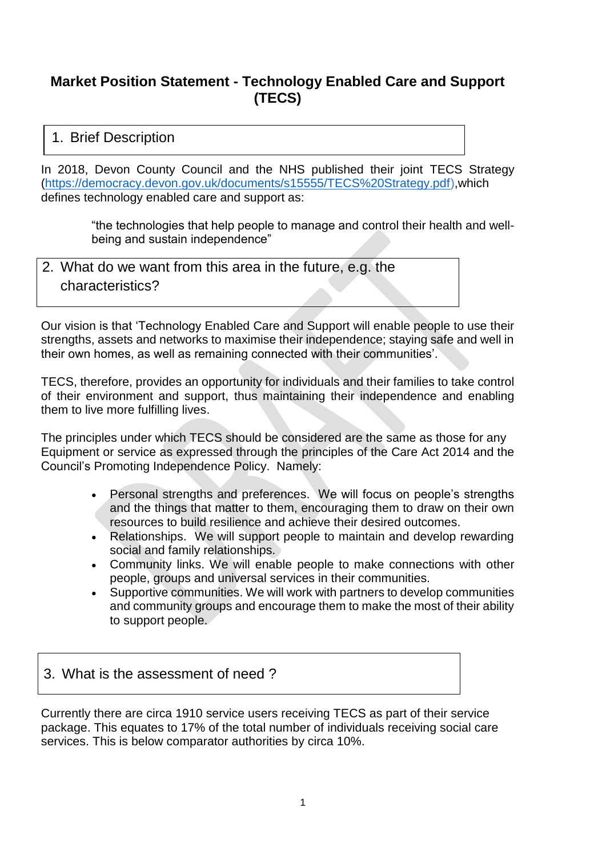## **Market Position Statement - Technology Enabled Care and Support (TECS)**

#### 1. Brief Description

In 2018, Devon County Council and the NHS published their joint TECS Strategy [\(https://democracy.devon.gov.uk/documents/s15555/TECS%20Strategy.pdf\)](https://democracy.devon.gov.uk/documents/s15555/TECS%20Strategy.pdf),which defines technology enabled care and support as:

> "the technologies that help people to manage and control their health and wellbeing and sustain independence"

2. What do we want from this area in the future, e.g. the characteristics?

Our vision is that 'Technology Enabled Care and Support will enable people to use their strengths, assets and networks to maximise their independence; staying safe and well in their own homes, as well as remaining connected with their communities'.

TECS, therefore, provides an opportunity for individuals and their families to take control of their environment and support, thus maintaining their independence and enabling them to live more fulfilling lives.

The principles under which TECS should be considered are the same as those for any Equipment or service as expressed through the principles of the Care Act 2014 and the Council's Promoting Independence Policy. Namely:

- Personal strengths and preferences. We will focus on people's strengths and the things that matter to them, encouraging them to draw on their own resources to build resilience and achieve their desired outcomes.
- Relationships. We will support people to maintain and develop rewarding social and family relationships.
- Community links. We will enable people to make connections with other people, groups and universal services in their communities.
- Supportive communities. We will work with partners to develop communities and community groups and encourage them to make the most of their ability to support people.

### 3. What is the assessment of need ?

Currently there are circa 1910 service users receiving TECS as part of their service package. This equates to 17% of the total number of individuals receiving social care services. This is below comparator authorities by circa 10%.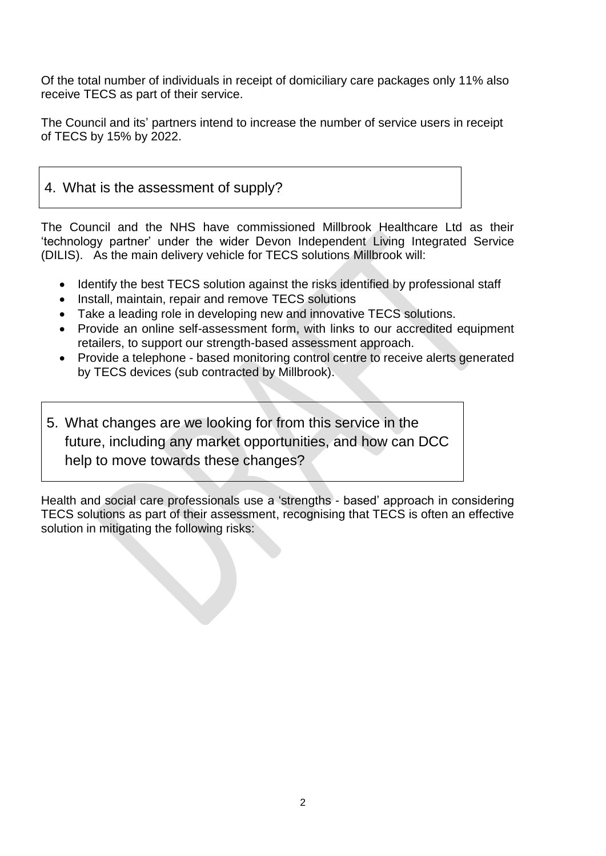Of the total number of individuals in receipt of domiciliary care packages only 11% also receive TECS as part of their service.

The Council and its' partners intend to increase the number of service users in receipt of TECS by 15% by 2022.

# 4. What is the assessment of supply?

The Council and the NHS have commissioned Millbrook Healthcare Ltd as their 'technology partner' under the wider Devon Independent Living Integrated Service (DILIS). As the main delivery vehicle for TECS solutions Millbrook will:

- Identify the best TECS solution against the risks identified by professional staff
- Install, maintain, repair and remove TECS solutions
- Take a leading role in developing new and innovative TECS solutions.
- Provide an online self-assessment form, with links to our accredited equipment retailers, to support our strength-based assessment approach.
- Provide a telephone based monitoring control centre to receive alerts generated by TECS devices (sub contracted by Millbrook).
- 5. What changes are we looking for from this service in the future, including any market opportunities, and how can DCC help to move towards these changes?

Health and social care professionals use a 'strengths - based' approach in considering TECS solutions as part of their assessment, recognising that TECS is often an effective solution in mitigating the following risks: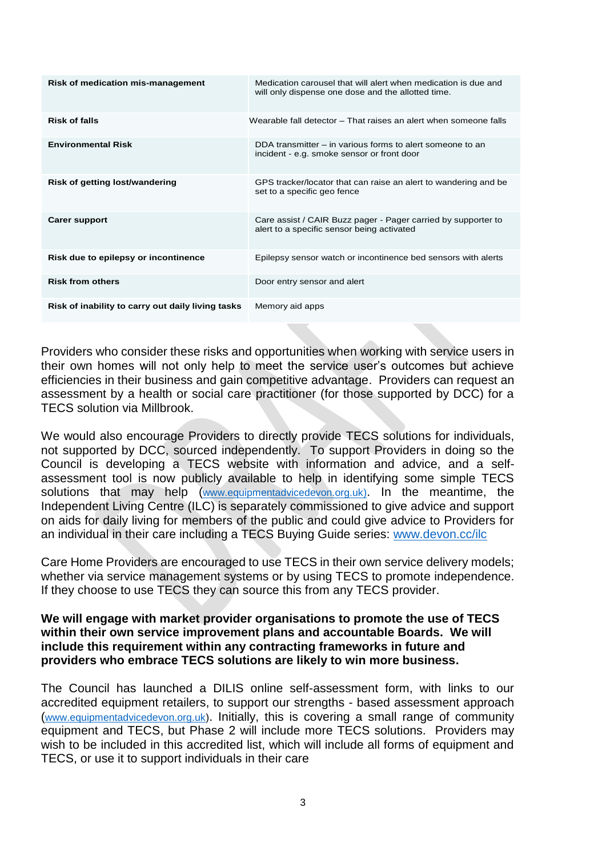| Risk of medication mis-management                 | Medication carousel that will alert when medication is due and<br>will only dispense one dose and the allotted time. |
|---------------------------------------------------|----------------------------------------------------------------------------------------------------------------------|
| <b>Risk of falls</b>                              | Wearable fall detector – That raises an alert when someone falls                                                     |
| <b>Environmental Risk</b>                         | DDA transmitter – in various forms to alert someone to an<br>incident - e.g. smoke sensor or front door              |
| <b>Risk of getting lost/wandering</b>             | GPS tracker/locator that can raise an alert to wandering and be<br>set to a specific geo fence                       |
| <b>Carer support</b>                              | Care assist / CAIR Buzz pager - Pager carried by supporter to<br>alert to a specific sensor being activated          |
| Risk due to epilepsy or incontinence              | Epilepsy sensor watch or incontinence bed sensors with alerts                                                        |
| <b>Risk from others</b>                           | Door entry sensor and alert                                                                                          |
| Risk of inability to carry out daily living tasks | Memory aid apps                                                                                                      |

Providers who consider these risks and opportunities when working with service users in their own homes will not only help to meet the service user's outcomes but achieve efficiencies in their business and gain competitive advantage. Providers can request an assessment by a health or social care practitioner (for those supported by DCC) for a TECS solution via Millbrook.

We would also encourage Providers to directly provide TECS solutions for individuals, not supported by DCC, sourced independently. To support Providers in doing so the Council is developing a TECS website with information and advice, and a selfassessment tool is now publicly available to help in identifying some simple TECS solutions that may help ([www.equipmentadvicedevon.org.uk\)](http://www.equipmentadvicedevon.org.uk/). In the meantime, the Independent Living Centre (ILC) is separately commissioned to give advice and support on aids for daily living for members of the public and could give advice to Providers for an individual in their care including a TECS Buying Guide series: [www.devon.cc/ilc](http://www.devon.cc/ilc)

Care Home Providers are encouraged to use TECS in their own service delivery models; whether via service management systems or by using TECS to promote independence. If they choose to use TECS they can source this from any TECS provider.

#### **We will engage with market provider organisations to promote the use of TECS within their own service improvement plans and accountable Boards. We will include this requirement within any contracting frameworks in future and providers who embrace TECS solutions are likely to win more business.**

The Council has launched a DILIS online self-assessment form, with links to our accredited equipment retailers, to support our strengths - based assessment approach ([www.equipmentadvicedevon.org.uk\)](http://www.equipmentadvicedevon.org.uk/). Initially, this is covering a small range of community equipment and TECS, but Phase 2 will include more TECS solutions. Providers may wish to be included in this accredited list, which will include all forms of equipment and TECS, or use it to support individuals in their care